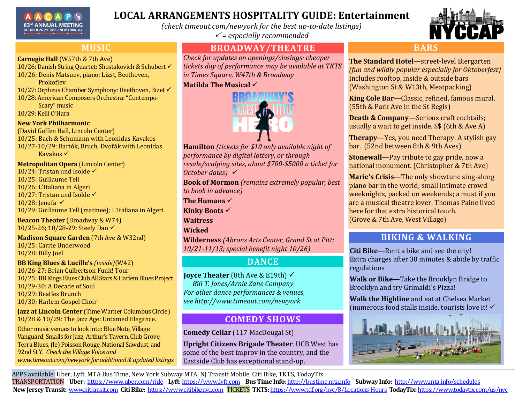

# **LOCAL ARRANGEMENTS HOSPITALITY GUIDE: Entertainment**

*(check timeout.com/newyork for the best up-to-date listings) = especially recommended*

## **MUSIC**

#### **Carnegie Hall** (W57th & 7th Ave)

- 10/26: Danish String Quartet: Shostakovich & Schubert
- 10/26: Denis Matsuev, piano: Lizst, Beethoven, Prokofiev
- 10/27: Orpheus Chamber Symphony: Beethoven, Bizet
- 10/28: American Composers Orchestra: "Contempo-Scary" music

10/29: Kelli O'Hara

#### **New York Philharmonic**

(David Geffen Hall, Lincoln Center)

10/25: Bach & Schumann with Leonidas Kavakos 10/27-10/29: Bartók, Bruch, Dvořák with Leonidas Kavakos **✓** 

**Metropolitan Opera** (Lincoln Center)

- 10/24: Tristan und Isolde  $\checkmark$
- 10/25: Guillaume Tell
- 10/26: L'Italiana in Algeri
- 10/27: Tristan und Isolde √

10/28: Jenufa √

10/29: Guillaume Tell (matinee); L'Italiana in Algeri

**Beacon Theater** (Broadway & W74) 10/25-26; 10/28-29: Steely Dan

**Madison Square Garden** (7th Ave & W32nd) 10/25: Carrie Underwood 10/28: Billy Joel

#### **BB King Blues & Lucille's** *(inside)*(W42)

10/26-27: Brian Culbertson Funk! Tour 10/25: BB Kings Blues Club All Stars & Harlem Blues Project 10/29-30: A Decade of Soul 10/29: Beatles Brunch 10/30: Harlem Gospel Choir

#### **Jazz at Lincoln Center** (Time Warner Columbus Circle) 10/28 & 10/29: The Jazz Age: Untamed Elegance.

Other music venues to look into: Blue Note, Village Vanguard, Smalls for Jazz, Arthur's Tavern, Club Grove, Terra Blues,(le) Poisson Rouge, National Sawdust, and 92nd St Y. *Check the Village Voice and www.timeout.com/newyork for additional & updated listings.*

## **BROADWAY/THEATRE**

*Check for updates on openings/closings: cheaper tickets day of performance may be available at TKTS in Times Square, W47th & Broadway*

#### **Matilda The Musical**



**Hamilton** *(tickets for \$10 only available night of performance by digital lottery, or through resale/scalping sites, about \$700-\$5000 a ticket for October dates)* 

**Book of Mormon** *(remains extremely popular, best to book in advance)*

**The Humans** 

**Kinky Boots** 

**Waitress** 

**Wicked**

**Wilderness** *(Abrons Arts Center, Grand St at Pitt; 10/21-11/13; special benefit night 10/26)*

# **DANCE**

**Joyce Theater** (8th Ave & E19th) *Bill T. Jones/Arnie Zane Company For other dance performances & venues, see http://www.timeout.com/newyork*

# **COMEDY SHOWS**

**Comedy Cellar** (117 MacDougal St)

**Upright Citizens Brigade Theater**. UCB West has some of the best improv in the country, and the Eastside Club has exceptional stand-up.



### **BARS**

**The Standard Hotel**—street-level Biergarten *(fun and wildly popular especially for Oktoberfest)* Includes rooftop, inside & outside bars (Washington St & W13th, Meatpacking)

**King Cole Bar**—Classic, refined, famous mural. (55th & Park Ave in the St Regis)

**Death & Company**—Serious craft cocktails; usually a wait to get inside. \$\$ (6th & Ave A)

**Therapy**—Yes, you need Therapy. A stylish gay bar. (52nd between 8th & 9th Aves)

**Stonewall**—Pay tribute to gay pride, now a national monument. (Christopher & 7th Ave)

**Marie's Crisis**—The only showtune sing-along piano bar in the world; small intimate crowd weeknights, packed on weekends; a must if you are a musical theatre lover. Thomas Paine lived here for that extra historical touch. (Grove & 7th Ave, West Village)

## **BIKING & WALKING**

**Citi Bike**—Rent a bike and see the city! Extra charges after 30 minutes & abide by traffic regulations

**Walk or Bike**—Take the Brooklyn Bridge to Brooklyn and try Grimaldi's Pizza!

**Walk the Highline** and eat at Chelsea Market (numerous food stalls inside, tourists love it!



APPS available: Uber, Lyft, MTA Bus Time, New York Subway MTA, NJ Transit Mobile, Citi Bike, TKTS, TodayTix TRANSPORTATION **Uber**:<https://www.uber.com/ride>**Lyft**[: https://www.lyft.com](https://www.lyft.com/) **Bus Time Info**[: http://bustime.mta.info](http://bustime.mta.info/) **Subway Info:** <http://www.mta.info/schedules> **New Jersey Transit:** [www.njtransit.com](http://www.njtransit.com/) **Citi Bike:** [https://www.citibikenyc.com](https://www.citibikenyc.com/) TICKETS **TKTS:** [https://www.tdf.org/nyc/8/Locations](https://www.tdf.org/nyc/8/Locations-Hours)-Hours **TodayTix:** <https://www.todaytix.com/us/nyc>